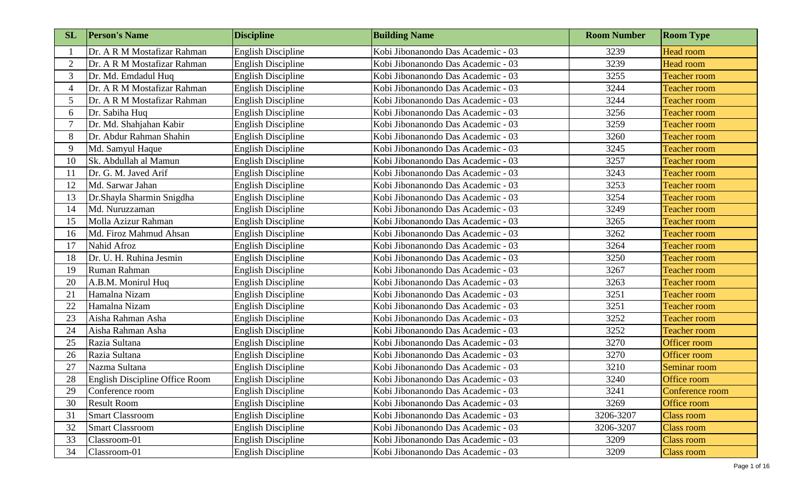| <b>SL</b>      | <b>Person's Name</b>           | <b>Discipline</b>         | <b>Building Name</b>               | <b>Room Number</b> | <b>Room Type</b>    |
|----------------|--------------------------------|---------------------------|------------------------------------|--------------------|---------------------|
|                | Dr. A R M Mostafizar Rahman    | <b>English Discipline</b> | Kobi Jibonanondo Das Academic - 03 | 3239               | <b>Head room</b>    |
| $\overline{2}$ | Dr. A R M Mostafizar Rahman    | <b>English Discipline</b> | Kobi Jibonanondo Das Academic - 03 | 3239               | <b>Head room</b>    |
| 3              | Dr. Md. Emdadul Huq            | <b>English Discipline</b> | Kobi Jibonanondo Das Academic - 03 | 3255               | <b>Teacher room</b> |
| 4              | Dr. A R M Mostafizar Rahman    | <b>English Discipline</b> | Kobi Jibonanondo Das Academic - 03 | 3244               | <b>Teacher room</b> |
| 5              | Dr. A R M Mostafizar Rahman    | <b>English Discipline</b> | Kobi Jibonanondo Das Academic - 03 | 3244               | <b>Teacher room</b> |
| 6              | Dr. Sabiha Huq                 | <b>English Discipline</b> | Kobi Jibonanondo Das Academic - 03 | 3256               | <b>Teacher room</b> |
|                | Dr. Md. Shahjahan Kabir        | <b>English Discipline</b> | Kobi Jibonanondo Das Academic - 03 | 3259               | <b>Teacher room</b> |
| 8              | Dr. Abdur Rahman Shahin        | <b>English Discipline</b> | Kobi Jibonanondo Das Academic - 03 | 3260               | <b>Teacher room</b> |
| 9              | Md. Samyul Haque               | <b>English Discipline</b> | Kobi Jibonanondo Das Academic - 03 | 3245               | <b>Teacher room</b> |
| 10             | Sk. Abdullah al Mamun          | <b>English Discipline</b> | Kobi Jibonanondo Das Academic - 03 | 3257               | <b>Teacher room</b> |
| 11             | Dr. G. M. Javed Arif           | <b>English Discipline</b> | Kobi Jibonanondo Das Academic - 03 | 3243               | <b>Teacher room</b> |
| 12             | Md. Sarwar Jahan               | <b>English Discipline</b> | Kobi Jibonanondo Das Academic - 03 | 3253               | <b>Teacher room</b> |
| 13             | Dr.Shayla Sharmin Snigdha      | <b>English Discipline</b> | Kobi Jibonanondo Das Academic - 03 | 3254               | <b>Teacher room</b> |
| 14             | Md. Nuruzzaman                 | <b>English Discipline</b> | Kobi Jibonanondo Das Academic - 03 | 3249               | <b>Teacher room</b> |
| 15             | Molla Azizur Rahman            | <b>English Discipline</b> | Kobi Jibonanondo Das Academic - 03 | 3265               | <b>Teacher room</b> |
| 16             | Md. Firoz Mahmud Ahsan         | <b>English Discipline</b> | Kobi Jibonanondo Das Academic - 03 | 3262               | <b>Teacher room</b> |
| 17             | Nahid Afroz                    | <b>English Discipline</b> | Kobi Jibonanondo Das Academic - 03 | 3264               | <b>Teacher room</b> |
| 18             | Dr. U. H. Ruhina Jesmin        | <b>English Discipline</b> | Kobi Jibonanondo Das Academic - 03 | 3250               | <b>Teacher room</b> |
| 19             | Ruman Rahman                   | <b>English Discipline</b> | Kobi Jibonanondo Das Academic - 03 | 3267               | <b>Teacher room</b> |
| 20             | A.B.M. Monirul Huq             | <b>English Discipline</b> | Kobi Jibonanondo Das Academic - 03 | 3263               | <b>Teacher room</b> |
| 21             | Hamalna Nizam                  | <b>English Discipline</b> | Kobi Jibonanondo Das Academic - 03 | 3251               | <b>Teacher room</b> |
| 22             | Hamalna Nizam                  | <b>English Discipline</b> | Kobi Jibonanondo Das Academic - 03 | 3251               | <b>Teacher room</b> |
| 23             | Aisha Rahman Asha              | <b>English Discipline</b> | Kobi Jibonanondo Das Academic - 03 | 3252               | <b>Teacher room</b> |
| 24             | Aisha Rahman Asha              | <b>English Discipline</b> | Kobi Jibonanondo Das Academic - 03 | 3252               | <b>Teacher room</b> |
| 25             | Razia Sultana                  | <b>English Discipline</b> | Kobi Jibonanondo Das Academic - 03 | 3270               | Officer room        |
| 26             | Razia Sultana                  | <b>English Discipline</b> | Kobi Jibonanondo Das Academic - 03 | 3270               | Officer room        |
| 27             | Nazma Sultana                  | <b>English Discipline</b> | Kobi Jibonanondo Das Academic - 03 | 3210               | Seminar room        |
| 28             | English Discipline Office Room | <b>English Discipline</b> | Kobi Jibonanondo Das Academic - 03 | 3240               | Office room         |
| 29             | Conference room                | <b>English Discipline</b> | Kobi Jibonanondo Das Academic - 03 | 3241               | Conference room     |
| 30             | <b>Result Room</b>             | <b>English Discipline</b> | Kobi Jibonanondo Das Academic - 03 | 3269               | Office room         |
| 31             | <b>Smart Classroom</b>         | <b>English Discipline</b> | Kobi Jibonanondo Das Academic - 03 | 3206-3207          | <b>Class room</b>   |
| 32             | <b>Smart Classroom</b>         | <b>English Discipline</b> | Kobi Jibonanondo Das Academic - 03 | 3206-3207          | Class room          |
| 33             | Classroom-01                   | <b>English Discipline</b> | Kobi Jibonanondo Das Academic - 03 | 3209               | Class room          |
| 34             | Classroom-01                   | <b>English Discipline</b> | Kobi Jibonanondo Das Academic - 03 | 3209               | <b>Class room</b>   |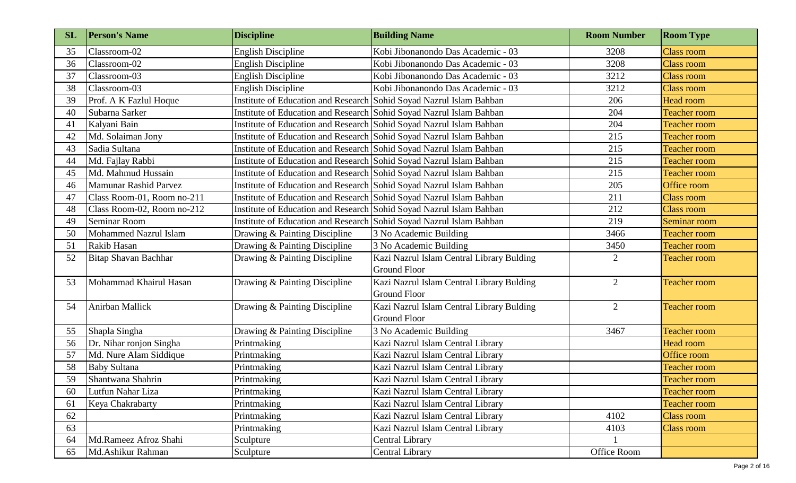| <b>SL</b> | <b>Person's Name</b>       | <b>Discipline</b>                                                   | <b>Building Name</b>                      | <b>Room Number</b> | <b>Room Type</b>    |
|-----------|----------------------------|---------------------------------------------------------------------|-------------------------------------------|--------------------|---------------------|
| 35        | Classroom-02               | <b>English Discipline</b>                                           | Kobi Jibonanondo Das Academic - 03        | 3208               | <b>Class room</b>   |
| 36        | Classroom-02               | <b>English Discipline</b>                                           | Kobi Jibonanondo Das Academic - 03        | 3208               | <b>Class room</b>   |
| 37        | Classroom-03               | <b>English Discipline</b>                                           | Kobi Jibonanondo Das Academic - 03        | 3212               | <b>Class room</b>   |
| 38        | Classroom-03               | <b>English Discipline</b>                                           | Kobi Jibonanondo Das Academic - 03        | 3212               | <b>Class room</b>   |
| 39        | Prof. A K Fazlul Hoque     | Institute of Education and Research Sohid Soyad Nazrul Islam Bahban |                                           | 206                | <b>Head room</b>    |
| 40        | Subarna Sarker             | Institute of Education and Research Sohid Soyad Nazrul Islam Bahban |                                           | 204                | <b>Teacher room</b> |
| 41        | Kalyani Bain               | Institute of Education and Research Sohid Soyad Nazrul Islam Bahban |                                           | 204                | <b>Teacher room</b> |
| 42        | Md. Solaiman Jony          | Institute of Education and Research Sohid Soyad Nazrul Islam Bahban |                                           | 215                | <b>Teacher room</b> |
| 43        | Sadia Sultana              | Institute of Education and Research Sohid Soyad Nazrul Islam Bahban |                                           | 215                | <b>Teacher room</b> |
| 44        | Md. Fajlay Rabbi           | Institute of Education and Research Sohid Soyad Nazrul Islam Bahban |                                           | 215                | <b>Teacher room</b> |
| 45        | Md. Mahmud Hussain         | Institute of Education and Research Sohid Soyad Nazrul Islam Bahban |                                           | 215                | <b>Teacher room</b> |
| 46        | Mamunar Rashid Parvez      | Institute of Education and Research Sobid Soyad Nazrul Islam Bahban |                                           | 205                | Office room         |
| 47        | Class Room-01, Room no-211 | Institute of Education and Research Sohid Soyad Nazrul Islam Bahban |                                           | 211                | <b>Class room</b>   |
| 48        | Class Room-02, Room no-212 | Institute of Education and Research Sohid Soyad Nazrul Islam Bahban |                                           | 212                | <b>Class room</b>   |
| 49        | Seminar Room               | Institute of Education and Research Sohid Soyad Nazrul Islam Bahban |                                           | 219                | Seminar room        |
| 50        | Mohammed Nazrul Islam      | Drawing & Painting Discipline                                       | 3 No Academic Building                    | 3466               | <b>Teacher room</b> |
| 51        | Rakib Hasan                | Drawing & Painting Discipline                                       | 3 No Academic Building                    | 3450               | <b>Teacher room</b> |
| 52        | Bitap Shavan Bachhar       | Drawing & Painting Discipline                                       | Kazi Nazrul Islam Central Library Bulding | $\overline{2}$     | <b>Teacher room</b> |
|           |                            |                                                                     | <b>Ground Floor</b>                       |                    |                     |
| 53        | Mohammad Khairul Hasan     | Drawing & Painting Discipline                                       | Kazi Nazrul Islam Central Library Bulding | $\overline{2}$     | <b>Teacher room</b> |
|           |                            |                                                                     | <b>Ground Floor</b>                       |                    |                     |
| 54        | Anirban Mallick            | Drawing & Painting Discipline                                       | Kazi Nazrul Islam Central Library Bulding | $\overline{2}$     | <b>Teacher room</b> |
|           |                            |                                                                     | <b>Ground Floor</b>                       |                    |                     |
| 55        | Shapla Singha              | Drawing & Painting Discipline                                       | 3 No Academic Building                    | 3467               | <b>Teacher room</b> |
| 56        | Dr. Nihar ronjon Singha    | Printmaking                                                         | Kazi Nazrul Islam Central Library         |                    | Head room           |
| 57        | Md. Nure Alam Siddique     | Printmaking                                                         | Kazi Nazrul Islam Central Library         |                    | Office room         |
| 58        | <b>Baby Sultana</b>        | Printmaking                                                         | Kazi Nazrul Islam Central Library         |                    | <b>Teacher room</b> |
| 59        | Shantwana Shahrin          | Printmaking                                                         | Kazi Nazrul Islam Central Library         |                    | <b>Teacher room</b> |
| 60        | Lutfun Nahar Liza          | Printmaking                                                         | Kazi Nazrul Islam Central Library         |                    | <b>Teacher room</b> |
| 61        | Keya Chakrabarty           | Printmaking                                                         | Kazi Nazrul Islam Central Library         |                    | <b>Teacher room</b> |
| 62        |                            | Printmaking                                                         | Kazi Nazrul Islam Central Library         | 4102               | <b>Class room</b>   |
| 63        |                            | Printmaking                                                         | Kazi Nazrul Islam Central Library         | 4103               | <b>Class room</b>   |
| 64        | Md.Rameez Afroz Shahi      | Sculpture                                                           | <b>Central Library</b>                    |                    |                     |
| 65        | Md.Ashikur Rahman          | Sculpture                                                           | <b>Central Library</b>                    | Office Room        |                     |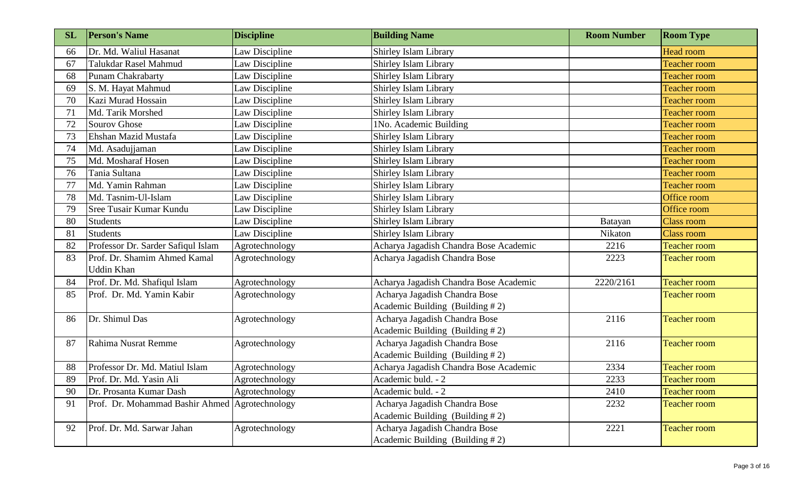| <b>SL</b> | <b>Person's Name</b>                           | <b>Discipline</b> | <b>Building Name</b>                   | <b>Room Number</b> | <b>Room Type</b>    |
|-----------|------------------------------------------------|-------------------|----------------------------------------|--------------------|---------------------|
| 66        | Dr. Md. Waliul Hasanat                         | Law Discipline    | Shirley Islam Library                  |                    | <b>Head room</b>    |
| 67        | Talukdar Rasel Mahmud                          | Law Discipline    | <b>Shirley Islam Library</b>           |                    | <b>Teacher room</b> |
| 68        | <b>Punam Chakrabarty</b>                       | Law Discipline    | Shirley Islam Library                  |                    | <b>Teacher room</b> |
| 69        | S. M. Hayat Mahmud                             | Law Discipline    | Shirley Islam Library                  |                    | <b>Teacher room</b> |
| 70        | Kazi Murad Hossain                             | Law Discipline    | Shirley Islam Library                  |                    | <b>Teacher room</b> |
| 71        | Md. Tarik Morshed                              | Law Discipline    | Shirley Islam Library                  |                    | <b>Teacher room</b> |
| 72        | Sourov Ghose                                   | Law Discipline    | 1No. Academic Building                 |                    | <b>Teacher room</b> |
| 73        | Ehshan Mazid Mustafa                           | Law Discipline    | Shirley Islam Library                  |                    | <b>Teacher room</b> |
| 74        | Md. Asadujjaman                                | Law Discipline    | Shirley Islam Library                  |                    | <b>Teacher room</b> |
| 75        | Md. Mosharaf Hosen                             | Law Discipline    | Shirley Islam Library                  |                    | <b>Teacher room</b> |
| 76        | Tania Sultana                                  | Law Discipline    | Shirley Islam Library                  |                    | <b>Teacher room</b> |
| 77        | Md. Yamin Rahman                               | Law Discipline    | <b>Shirley Islam Library</b>           |                    | <b>Teacher room</b> |
| 78        | Md. Tasnim-Ul-Islam                            | Law Discipline    | Shirley Islam Library                  |                    | Office room         |
| 79        | Sree Tusair Kumar Kundu                        | Law Discipline    | Shirley Islam Library                  |                    | Office room         |
| 80        | <b>Students</b>                                | Law Discipline    | Shirley Islam Library                  | Batayan            | <b>Class room</b>   |
| 81        | <b>Students</b>                                | Law Discipline    | <b>Shirley Islam Library</b>           | Nikaton            | Class room          |
| 82        | Professor Dr. Sarder Safiqul Islam             | Agrotechnology    | Acharya Jagadish Chandra Bose Academic | 2216               | <b>Teacher room</b> |
| 83        | Prof. Dr. Shamim Ahmed Kamal                   | Agrotechnology    | Acharya Jagadish Chandra Bose          | 2223               | <b>Teacher room</b> |
|           | <b>Uddin Khan</b>                              |                   |                                        |                    |                     |
| 84        | Prof. Dr. Md. Shafiqul Islam                   | Agrotechnology    | Acharya Jagadish Chandra Bose Academic | 2220/2161          | <b>Teacher room</b> |
| 85        | Prof. Dr. Md. Yamin Kabir                      | Agrotechnology    | Acharya Jagadish Chandra Bose          |                    | <b>Teacher room</b> |
|           |                                                |                   | Academic Building (Building #2)        |                    |                     |
| 86        | Dr. Shimul Das                                 | Agrotechnology    | Acharya Jagadish Chandra Bose          | 2116               | <b>Teacher room</b> |
|           |                                                |                   | Academic Building (Building #2)        |                    |                     |
| 87        | Rahima Nusrat Remme                            | Agrotechnology    | Acharya Jagadish Chandra Bose          | 2116               | <b>Teacher room</b> |
|           |                                                |                   | Academic Building (Building #2)        |                    |                     |
| 88        | Professor Dr. Md. Matiul Islam                 | Agrotechnology    | Acharya Jagadish Chandra Bose Academic | 2334               | <b>Teacher room</b> |
| 89        | Prof. Dr. Md. Yasin Ali                        | Agrotechnology    | Academic buld. - 2                     | 2233               | <b>Teacher room</b> |
| 90        | Dr. Prosanta Kumar Dash                        | Agrotechnology    | Academic buld. - 2                     | 2410               | <b>Teacher room</b> |
| 91        | Prof. Dr. Mohammad Bashir Ahmed Agrotechnology |                   | Acharya Jagadish Chandra Bose          | 2232               | <b>Teacher room</b> |
|           |                                                |                   | Academic Building (Building #2)        |                    |                     |
| 92        | Prof. Dr. Md. Sarwar Jahan                     | Agrotechnology    | Acharya Jagadish Chandra Bose          | 2221               | <b>Teacher room</b> |
|           |                                                |                   | Academic Building (Building $# 2$ )    |                    |                     |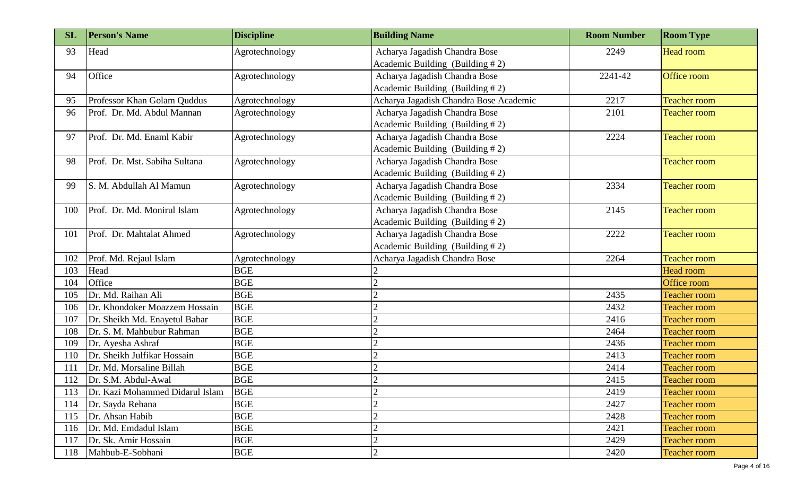| <b>SL</b> | <b>Person's Name</b>            | <b>Discipline</b> | <b>Building Name</b>                   | <b>Room Number</b> | <b>Room Type</b>    |
|-----------|---------------------------------|-------------------|----------------------------------------|--------------------|---------------------|
| 93        | Head                            | Agrotechnology    | Acharya Jagadish Chandra Bose          | 2249               | <b>Head room</b>    |
|           |                                 |                   | Academic Building (Building #2)        |                    |                     |
| 94        | Office                          | Agrotechnology    | Acharya Jagadish Chandra Bose          | 2241-42            | Office room         |
|           |                                 |                   | Academic Building (Building #2)        |                    |                     |
| 95        | Professor Khan Golam Quddus     | Agrotechnology    | Acharya Jagadish Chandra Bose Academic | 2217               | <b>Teacher room</b> |
| 96        | Prof. Dr. Md. Abdul Mannan      | Agrotechnology    | Acharya Jagadish Chandra Bose          | 2101               | <b>Teacher room</b> |
|           |                                 |                   | Academic Building (Building #2)        |                    |                     |
| 97        | Prof. Dr. Md. Enaml Kabir       | Agrotechnology    | Acharya Jagadish Chandra Bose          | 2224               | <b>Teacher room</b> |
|           |                                 |                   | Academic Building (Building #2)        |                    |                     |
| 98        | Prof. Dr. Mst. Sabiha Sultana   | Agrotechnology    | Acharya Jagadish Chandra Bose          |                    | <b>Teacher room</b> |
|           |                                 |                   | Academic Building (Building #2)        |                    |                     |
| 99        | S. M. Abdullah Al Mamun         | Agrotechnology    | Acharya Jagadish Chandra Bose          | 2334               | <b>Teacher room</b> |
|           |                                 |                   | Academic Building (Building #2)        |                    |                     |
| 100       | Prof. Dr. Md. Monirul Islam     | Agrotechnology    | Acharya Jagadish Chandra Bose          | 2145               | <b>Teacher room</b> |
|           |                                 |                   | Academic Building (Building #2)        |                    |                     |
| 101       | Prof. Dr. Mahtalat Ahmed        | Agrotechnology    | Acharya Jagadish Chandra Bose          | 2222               | <b>Teacher room</b> |
|           |                                 |                   | Academic Building (Building #2)        |                    |                     |
| 102       | Prof. Md. Rejaul Islam          | Agrotechnology    | Acharya Jagadish Chandra Bose          | 2264               | <b>Teacher room</b> |
| 103       | Head                            | <b>BGE</b>        |                                        |                    | Head room           |
| 104       | Office                          | <b>BGE</b>        |                                        |                    | <b>Office room</b>  |
| 105       | Dr. Md. Raihan Ali              | <b>BGE</b>        | $\overline{2}$                         | 2435               | <b>Teacher room</b> |
| 106       | Dr. Khondoker Moazzem Hossain   | <b>BGE</b>        |                                        | 2432               | <b>Teacher room</b> |
| 107       | Dr. Sheikh Md. Enayetul Babar   | <b>BGE</b>        |                                        | 2416               | <b>Teacher room</b> |
| 108       | Dr. S. M. Mahbubur Rahman       | <b>BGE</b>        |                                        | 2464               | <b>Teacher room</b> |
| 109       | Dr. Ayesha Ashraf               | <b>BGE</b>        | $\overline{2}$                         | 2436               | <b>Teacher room</b> |
| 110       | Dr. Sheikh Julfikar Hossain     | <b>BGE</b>        |                                        | 2413               | <b>Teacher room</b> |
| 111       | Dr. Md. Morsaline Billah        | <b>BGE</b>        |                                        | 2414               | <b>Teacher room</b> |
|           | 112 Dr. S.M. Abdul-Awal         | <b>BGE</b>        | $\bigcap$                              | 2415               | <b>Teacher room</b> |
| 113       | Dr. Kazi Mohammed Didarul Islam | <b>BGE</b>        | $\overline{2}$                         | 2419               | <b>Teacher room</b> |
| 114       | Dr. Sayda Rehana                | <b>BGE</b>        | $\overline{2}$                         | 2427               | <b>Teacher room</b> |
| 115       | Dr. Ahsan Habib                 | <b>BGE</b>        | $\overline{2}$                         | 2428               | <b>Teacher room</b> |
| 116       | Dr. Md. Emdadul Islam           | <b>BGE</b>        |                                        | 2421               | <b>Teacher room</b> |
| 117       | Dr. Sk. Amir Hossain            | <b>BGE</b>        | $\overline{2}$                         | 2429               | <b>Teacher room</b> |
| 118       | Mahbub-E-Sobhani                | <b>BGE</b>        | $\overline{2}$                         | 2420               | <b>Teacher room</b> |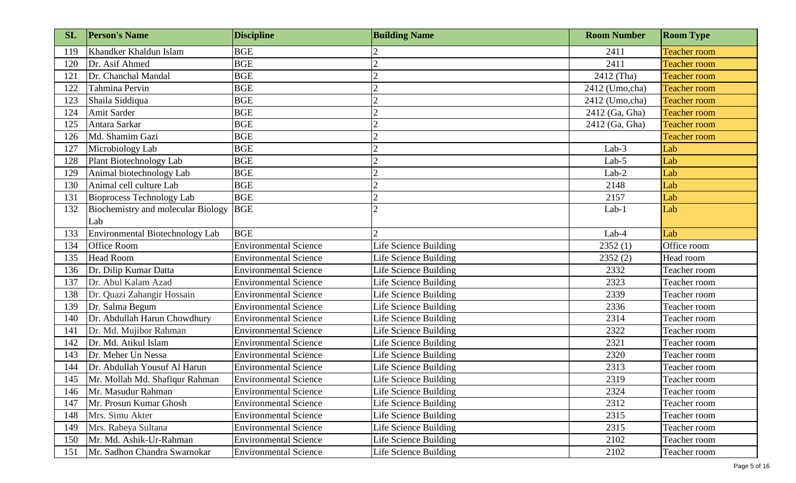| <b>SL</b> | <b>Person's Name</b>               | <b>Discipline</b>            | <b>Building Name</b>  | <b>Room Number</b> | <b>Room Type</b>    |
|-----------|------------------------------------|------------------------------|-----------------------|--------------------|---------------------|
| 119       | Khandker Khaldun Islam             | <b>BGE</b>                   |                       | 2411               | <b>Teacher room</b> |
| 120       | Dr. Asif Ahmed                     | <b>BGE</b>                   |                       | 2411               | <b>Teacher room</b> |
| 121       | Dr. Chanchal Mandal                | <b>BGE</b>                   |                       | 2412 (Tha)         | <b>Teacher room</b> |
| 122       | Tahmina Pervin                     | <b>BGE</b>                   |                       | 2412 (Umo,cha)     | <b>Teacher room</b> |
| 123       | Shaila Siddiqua                    | <b>BGE</b>                   |                       | 2412 (Umo,cha)     | <b>Teacher room</b> |
| 124       | Amit Sarder                        | <b>BGE</b>                   |                       | 2412 (Ga, Gha)     | <b>Teacher room</b> |
| 125       | Antara Sarkar                      | <b>BGE</b>                   |                       | 2412 (Ga, Gha)     | <b>Teacher room</b> |
| 126       | Md. Shamim Gazi                    | <b>BGE</b>                   |                       |                    | <b>Teacher room</b> |
| 127       | Microbiology Lab                   | <b>BGE</b>                   |                       | $Lab-3$            | Lab                 |
| 128       | Plant Biotechnology Lab            | <b>BGE</b>                   |                       | Lab-5              | Lab                 |
| 129       | Animal biotechnology Lab           | <b>BGE</b>                   |                       | Lab-2              | Lab                 |
| 130       | Animal cell culture Lab            | <b>BGE</b>                   |                       | 2148               | Lab                 |
| 131       | Bioprocess Technology Lab          | <b>BGE</b>                   |                       | 2157               | Lab                 |
| 132       | Biochemistry and molecular Biology | <b>BGE</b>                   |                       | $Lab-1$            | Lab                 |
|           | Lab                                |                              |                       |                    |                     |
| 133       | Environmental Biotechnology Lab    | <b>BGE</b>                   |                       | Lab-4              | Lab                 |
| 134       | <b>Office Room</b>                 | <b>Environmental Science</b> | Life Science Building | 2352(1)            | Office room         |
| 135       | <b>Head Room</b>                   | <b>Environmental Science</b> | Life Science Building | 2352(2)            | Head room           |
| 136       | Dr. Dilip Kumar Datta              | <b>Environmental Science</b> | Life Science Building | 2332               | Teacher room        |
| 137       | Dr. Abul Kalam Azad                | <b>Environmental Science</b> | Life Science Building | 2323               | Teacher room        |
| 138       | Dr. Quazi Zahangir Hossain         | <b>Environmental Science</b> | Life Science Building | 2339               | Teacher room        |
| 139       | Dr. Salma Begum                    | <b>Environmental Science</b> | Life Science Building | 2336               | Teacher room        |
| 140       | Dr. Abdullah Harun Chowdhury       | <b>Environmental Science</b> | Life Science Building | 2314               | Teacher room        |
| 141       | Dr. Md. Mujibor Rahman             | <b>Environmental Science</b> | Life Science Building | 2322               | Teacher room        |
| 142       | Dr. Md. Atikul Islam               | <b>Environmental Science</b> | Life Science Building | 2321               | Teacher room        |
| 143       | Dr. Meher Un Nessa                 | <b>Environmental Science</b> | Life Science Building | 2320               | Teacher room        |
| 144       | Dr. Abdullah Yousuf Al Harun       | <b>Environmental Science</b> | Life Science Building | 2313               | Teacher room        |
| 145       | Mr. Mollah Md. Shafiqur Rahman     | <b>Environmental Science</b> | Life Science Building | 2319               | Teacher room        |
| 146       | Mr. Masudur Rahman                 | <b>Environmental Science</b> | Life Science Building | 2324               | Teacher room        |
| 147       | Mr. Prosun Kumar Ghosh             | <b>Environmental Science</b> | Life Science Building | 2312               | Teacher room        |
| 148       | Mrs. Simu Akter                    | <b>Environmental Science</b> | Life Science Building | 2315               | Teacher room        |
| 149       | Mrs. Rabeya Sultana                | <b>Environmental Science</b> | Life Science Building | 2315               | Teacher room        |
| 150       | Mr. Md. Ashik-Ur-Rahman            | <b>Environmental Science</b> | Life Science Building | 2102               | Teacher room        |
| 151       | Mr. Sadhon Chandra Swarnokar       | <b>Environmental Science</b> | Life Science Building | 2102               | Teacher room        |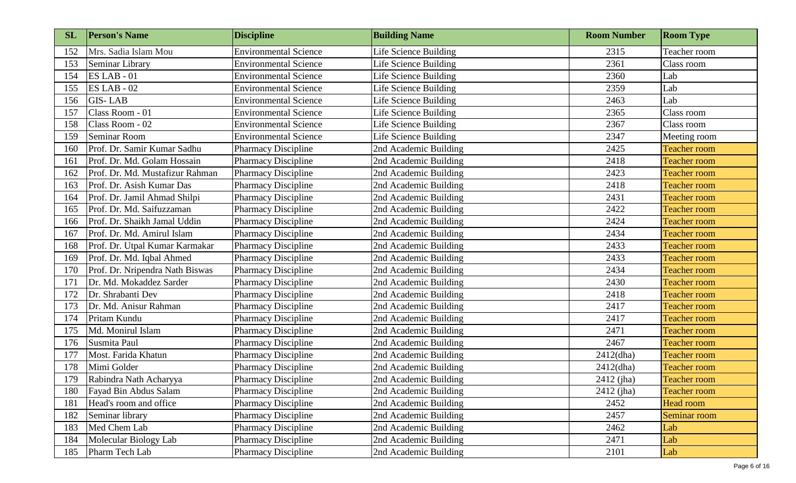| <b>SL</b> | <b>Person's Name</b>            | <b>Discipline</b>            | <b>Building Name</b>         | <b>Room Number</b> | <b>Room Type</b>    |
|-----------|---------------------------------|------------------------------|------------------------------|--------------------|---------------------|
| 152       | Mrs. Sadia Islam Mou            | <b>Environmental Science</b> | Life Science Building        | 2315               | Teacher room        |
| 153       | Seminar Library                 | <b>Environmental Science</b> | <b>Life Science Building</b> | 2361               | Class room          |
| 154       | $ES LAB - 01$                   | <b>Environmental Science</b> | Life Science Building        | 2360               | Lab                 |
| 155       | $ES LAB - 02$                   | <b>Environmental Science</b> | Life Science Building        | 2359               | Lab                 |
| 156       | <b>GIS-LAB</b>                  | <b>Environmental Science</b> | Life Science Building        | 2463               | Lab                 |
| 157       | Class Room - 01                 | <b>Environmental Science</b> | Life Science Building        | 2365               | Class room          |
| 158       | Class Room - 02                 | <b>Environmental Science</b> | Life Science Building        | 2367               | Class room          |
| 159       | Seminar Room                    | <b>Environmental Science</b> | Life Science Building        | 2347               | Meeting room        |
| 160       | Prof. Dr. Samir Kumar Sadhu     | <b>Pharmacy Discipline</b>   | 2nd Academic Building        | 2425               | <b>Teacher room</b> |
| 161       | Prof. Dr. Md. Golam Hossain     | <b>Pharmacy Discipline</b>   | 2nd Academic Building        | 2418               | <b>Teacher room</b> |
| 162       | Prof. Dr. Md. Mustafizur Rahman | <b>Pharmacy Discipline</b>   | 2nd Academic Building        | 2423               | <b>Teacher room</b> |
| 163       | Prof. Dr. Asish Kumar Das       | <b>Pharmacy Discipline</b>   | 2nd Academic Building        | 2418               | <b>Teacher room</b> |
| 164       | Prof. Dr. Jamil Ahmad Shilpi    | <b>Pharmacy Discipline</b>   | 2nd Academic Building        | 2431               | <b>Teacher room</b> |
| 165       | Prof. Dr. Md. Saifuzzaman       | <b>Pharmacy Discipline</b>   | 2nd Academic Building        | 2422               | <b>Teacher room</b> |
| 166       | Prof. Dr. Shaikh Jamal Uddin    | <b>Pharmacy Discipline</b>   | 2nd Academic Building        | 2424               | <b>Teacher room</b> |
| 167       | Prof. Dr. Md. Amirul Islam      | <b>Pharmacy Discipline</b>   | 2nd Academic Building        | 2434               | <b>Teacher room</b> |
| 168       | Prof. Dr. Utpal Kumar Karmakar  | <b>Pharmacy Discipline</b>   | 2nd Academic Building        | 2433               | <b>Teacher room</b> |
| 169       | Prof. Dr. Md. Iqbal Ahmed       | <b>Pharmacy Discipline</b>   | 2nd Academic Building        | 2433               | <b>Teacher room</b> |
| 170       | Prof. Dr. Nripendra Nath Biswas | <b>Pharmacy Discipline</b>   | 2nd Academic Building        | 2434               | <b>Teacher room</b> |
| 171       | Dr. Md. Mokaddez Sarder         | <b>Pharmacy Discipline</b>   | 2nd Academic Building        | 2430               | <b>Teacher room</b> |
| 172       | Dr. Shrabanti Dev               | <b>Pharmacy Discipline</b>   | 2nd Academic Building        | 2418               | <b>Teacher room</b> |
| 173       | Dr. Md. Anisur Rahman           | <b>Pharmacy Discipline</b>   | 2nd Academic Building        | 2417               | <b>Teacher room</b> |
| 174       | Pritam Kundu                    | <b>Pharmacy Discipline</b>   | 2nd Academic Building        | 2417               | <b>Teacher room</b> |
| 175       | Md. Monirul Islam               | <b>Pharmacy Discipline</b>   | 2nd Academic Building        | 2471               | <b>Teacher room</b> |
| 176       | Susmita Paul                    | <b>Pharmacy Discipline</b>   | 2nd Academic Building        | 2467               | <b>Teacher room</b> |
| 177       | Most. Farida Khatun             | <b>Pharmacy Discipline</b>   | 2nd Academic Building        | $2412$ (dha)       | <b>Teacher room</b> |
| 178       | Mimi Golder                     | <b>Pharmacy Discipline</b>   | 2nd Academic Building        | $2412$ (dha)       | <b>Teacher room</b> |
| 179       | Rabindra Nath Acharyya          | <b>Pharmacy Discipline</b>   | 2nd Academic Building        | $2412$ (jha)       | <b>Teacher room</b> |
| 180       | Fayad Bin Abdus Salam           | <b>Pharmacy Discipline</b>   | 2nd Academic Building        | 2412 (jha)         | <b>Teacher room</b> |
| 181       | Head's room and office          | <b>Pharmacy Discipline</b>   | 2nd Academic Building        | 2452               | Head room           |
| 182       | Seminar library                 | <b>Pharmacy Discipline</b>   | 2nd Academic Building        | 2457               | Seminar room        |
| 183       | Med Chem Lab                    | <b>Pharmacy Discipline</b>   | 2nd Academic Building        | 2462               | Lab                 |
| 184       | Molecular Biology Lab           | <b>Pharmacy Discipline</b>   | 2nd Academic Building        | 2471               | Lab                 |
| 185       | Pharm Tech Lab                  | <b>Pharmacy Discipline</b>   | 2nd Academic Building        | 2101               | Lab                 |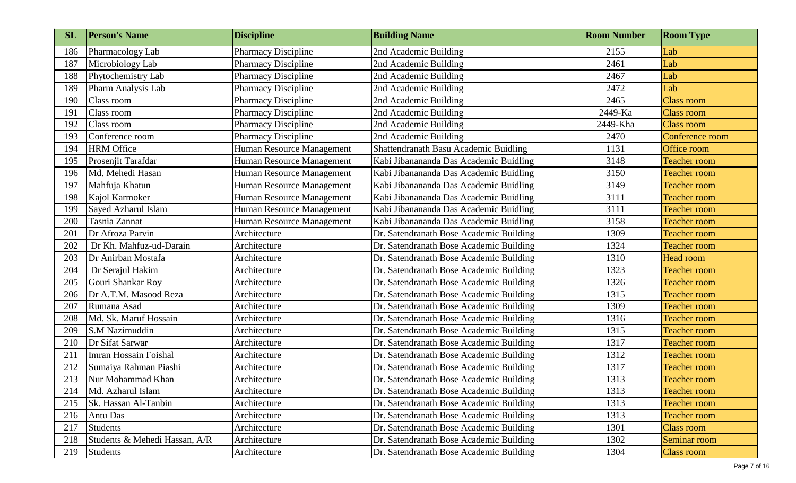| SL  | <b>Person's Name</b>          | <b>Discipline</b>          | <b>Building Name</b>                    | <b>Room Number</b> | <b>Room Type</b>    |
|-----|-------------------------------|----------------------------|-----------------------------------------|--------------------|---------------------|
| 186 | Pharmacology Lab              | <b>Pharmacy Discipline</b> | 2nd Academic Building                   | 2155               | Lab                 |
| 187 | Microbiology Lab              | <b>Pharmacy Discipline</b> | 2nd Academic Building                   | 2461               | Lab                 |
| 188 | Phytochemistry Lab            | <b>Pharmacy Discipline</b> | 2nd Academic Building                   | 2467               | Lab                 |
| 189 | Pharm Analysis Lab            | <b>Pharmacy Discipline</b> | 2nd Academic Building                   | 2472               | Lab                 |
| 190 | Class room                    | <b>Pharmacy Discipline</b> | 2nd Academic Building                   | 2465               | <b>Class room</b>   |
| 191 | Class room                    | <b>Pharmacy Discipline</b> | 2nd Academic Building                   | 2449-Ka            | <b>Class room</b>   |
| 192 | Class room                    | <b>Pharmacy Discipline</b> | 2nd Academic Building                   | 2449-Kha           | <b>Class room</b>   |
| 193 | Conference room               | <b>Pharmacy Discipline</b> | 2nd Academic Building                   | 2470               | Conference room     |
| 194 | <b>HRM</b> Office             | Human Resource Management  | Shattendranath Basu Academic Buidling   | 1131               | Office room         |
| 195 | Prosenjit Tarafdar            | Human Resource Management  | Kabi Jibanananda Das Academic Buidling  | 3148               | <b>Teacher room</b> |
| 196 | Md. Mehedi Hasan              | Human Resource Management  | Kabi Jibanananda Das Academic Buidling  | 3150               | <b>Teacher room</b> |
| 197 | Mahfuja Khatun                | Human Resource Management  | Kabi Jibanananda Das Academic Buidling  | 3149               | <b>Teacher room</b> |
| 198 | Kajol Karmoker                | Human Resource Management  | Kabi Jibanananda Das Academic Buidling  | 3111               | <b>Teacher room</b> |
| 199 | Sayed Azharul Islam           | Human Resource Management  | Kabi Jibanananda Das Academic Buidling  | 3111               | <b>Teacher room</b> |
| 200 | Tasnia Zannat                 | Human Resource Management  | Kabi Jibanananda Das Academic Buidling  | 3158               | <b>Teacher room</b> |
| 201 | Dr Afroza Parvin              | Architecture               | Dr. Satendranath Bose Academic Building | 1309               | <b>Teacher room</b> |
| 202 | Dr Kh. Mahfuz-ud-Darain       | Architecture               | Dr. Satendranath Bose Academic Building | 1324               | <b>Teacher room</b> |
| 203 | Dr Anirban Mostafa            | Architecture               | Dr. Satendranath Bose Academic Building | 1310               | Head room           |
| 204 | Dr Serajul Hakim              | Architecture               | Dr. Satendranath Bose Academic Building | 1323               | <b>Teacher room</b> |
| 205 | Gouri Shankar Roy             | Architecture               | Dr. Satendranath Bose Academic Building | 1326               | <b>Teacher room</b> |
| 206 | Dr A.T.M. Masood Reza         | Architecture               | Dr. Satendranath Bose Academic Building | 1315               | <b>Teacher room</b> |
| 207 | Rumana Asad                   | Architecture               | Dr. Satendranath Bose Academic Building | 1309               | <b>Teacher room</b> |
| 208 | Md. Sk. Maruf Hossain         | Architecture               | Dr. Satendranath Bose Academic Building | 1316               | <b>Teacher room</b> |
| 209 | S.M Nazimuddin                | Architecture               | Dr. Satendranath Bose Academic Building | 1315               | <b>Teacher room</b> |
| 210 | Dr Sifat Sarwar               | Architecture               | Dr. Satendranath Bose Academic Building | 1317               | <b>Teacher room</b> |
| 211 | Imran Hossain Foishal         | Architecture               | Dr. Satendranath Bose Academic Building | 1312               | <b>Teacher room</b> |
| 212 | Sumaiya Rahman Piashi         | Architecture               | Dr. Satendranath Bose Academic Building | 1317               | <b>Teacher room</b> |
| 213 | Nur Mohammad Khan             | Architecture               | Dr. Satendranath Bose Academic Building | 1313               | <b>Teacher room</b> |
| 214 | Md. Azharul Islam             | Architecture               | Dr. Satendranath Bose Academic Building | 1313               | <b>Teacher room</b> |
| 215 | Sk. Hassan Al-Tanbin          | Architecture               | Dr. Satendranath Bose Academic Building | 1313               | <b>Teacher room</b> |
| 216 | Antu Das                      | Architecture               | Dr. Satendranath Bose Academic Building | 1313               | <b>Teacher room</b> |
| 217 | Students                      | Architecture               | Dr. Satendranath Bose Academic Building | 1301               | <b>Class room</b>   |
| 218 | Students & Mehedi Hassan, A/R | Architecture               | Dr. Satendranath Bose Academic Building | 1302               | Seminar room        |
| 219 | Students                      | Architecture               | Dr. Satendranath Bose Academic Building | 1304               | <b>Class room</b>   |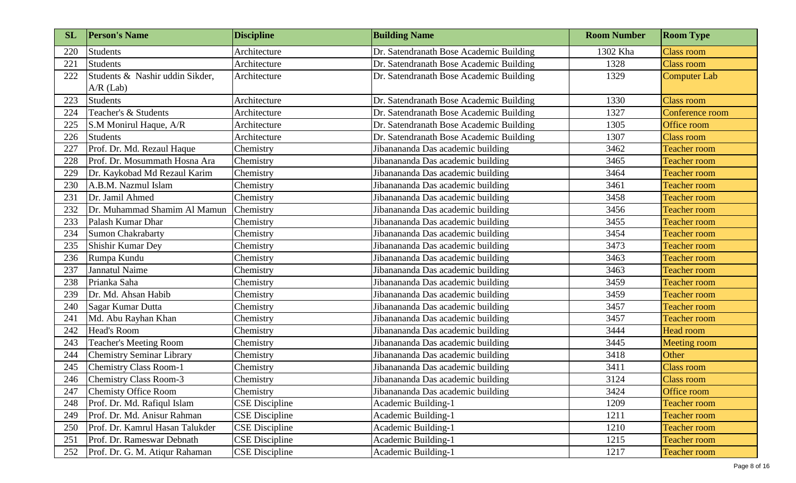| <b>SL</b> | <b>Person's Name</b>             | <b>Discipline</b>     | <b>Building Name</b>                    | <b>Room Number</b> | <b>Room Type</b>    |
|-----------|----------------------------------|-----------------------|-----------------------------------------|--------------------|---------------------|
| 220       | Students                         | Architecture          | Dr. Satendranath Bose Academic Building | 1302 Kha           | <b>Class room</b>   |
| 221       | Students                         | Architecture          | Dr. Satendranath Bose Academic Building | 1328               | <b>Class room</b>   |
| 222       | Students & Nashir uddin Sikder,  | Architecture          | Dr. Satendranath Bose Academic Building | 1329               | Computer Lab        |
|           | $A/R$ (Lab)                      |                       |                                         |                    |                     |
| 223       | Students                         | Architecture          | Dr. Satendranath Bose Academic Building | 1330               | <b>Class room</b>   |
| 224       | Teacher's & Students             | Architecture          | Dr. Satendranath Bose Academic Building | 1327               | Conference room     |
| 225       | S.M Monirul Haque, A/R           | Architecture          | Dr. Satendranath Bose Academic Building | 1305               | Office room         |
| 226       | <b>Students</b>                  | Architecture          | Dr. Satendranath Bose Academic Building | 1307               | <b>Class room</b>   |
| 227       | Prof. Dr. Md. Rezaul Haque       | Chemistry             | Jibanananda Das academic building       | 3462               | <b>Teacher room</b> |
| 228       | Prof. Dr. Mosummath Hosna Ara    | Chemistry             | Jibanananda Das academic building       | 3465               | <b>Teacher room</b> |
| 229       | Dr. Kaykobad Md Rezaul Karim     | Chemistry             | Jibanananda Das academic building       | 3464               | <b>Teacher room</b> |
| 230       | A.B.M. Nazmul Islam              | Chemistry             | Jibanananda Das academic building       | 3461               | <b>Teacher room</b> |
| 231       | Dr. Jamil Ahmed                  | Chemistry             | Jibanananda Das academic building       | 3458               | <b>Teacher room</b> |
| 232       | Dr. Muhammad Shamim Al Mamun     | Chemistry             | Jibanananda Das academic building       | 3456               | <b>Teacher room</b> |
| 233       | Palash Kumar Dhar                | Chemistry             | Jibanananda Das academic building       | 3455               | <b>Teacher room</b> |
| 234       | Sumon Chakrabarty                | Chemistry             | Jibanananda Das academic building       | 3454               | <b>Teacher room</b> |
| 235       | Shishir Kumar Dey                | Chemistry             | Jibanananda Das academic building       | 3473               | <b>Teacher room</b> |
| 236       | Rumpa Kundu                      | Chemistry             | Jibanananda Das academic building       | 3463               | <b>Teacher room</b> |
| 237       | Jannatul Naime                   | Chemistry             | Jibanananda Das academic building       | 3463               | <b>Teacher room</b> |
| 238       | Prianka Saha                     | Chemistry             | Jibanananda Das academic building       | 3459               | <b>Teacher room</b> |
| 239       | Dr. Md. Ahsan Habib              | Chemistry             | Jibanananda Das academic building       | 3459               | <b>Teacher room</b> |
| 240       | Sagar Kumar Dutta                | Chemistry             | Jibanananda Das academic building       | 3457               | <b>Teacher room</b> |
| 241       | Md. Abu Rayhan Khan              | Chemistry             | Jibanananda Das academic building       | 3457               | <b>Teacher room</b> |
| 242       | <b>Head's Room</b>               | Chemistry             | Jibanananda Das academic building       | 3444               | <b>Head room</b>    |
| 243       | <b>Teacher's Meeting Room</b>    | Chemistry             | Jibanananda Das academic building       | 3445               | Meeting room        |
| 244       | <b>Chemistry Seminar Library</b> | Chemistry             | Jibanananda Das academic building       | 3418               | Other               |
| 245       | <b>Chemistry Class Room-1</b>    | Chemistry             | Jibanananda Das academic building       | 3411               | <b>Class room</b>   |
| 246       | Chemistry Class Room-3           | Chemistry             | Jibanananda Das academic building       | 3124               | <b>Class room</b>   |
| 247       | Chemisty Office Room             | Chemistry             | Jibanananda Das academic building       | 3424               | Office room         |
| 248       | Prof. Dr. Md. Rafiqul Islam      | <b>CSE</b> Discipline | Academic Building-1                     | 1209               | <b>Teacher room</b> |
| 249       | Prof. Dr. Md. Anisur Rahman      | <b>CSE</b> Discipline | Academic Building-1                     | 1211               | <b>Teacher room</b> |
| 250       | Prof. Dr. Kamrul Hasan Talukder  | <b>CSE</b> Discipline | Academic Building-1                     | 1210               | <b>Teacher room</b> |
| 251       | Prof. Dr. Rameswar Debnath       | <b>CSE</b> Discipline | Academic Building-1                     | 1215               | Teacher room        |
| 252       | Prof. Dr. G. M. Atiqur Rahaman   | <b>CSE</b> Discipline | Academic Building-1                     | 1217               | <b>Teacher room</b> |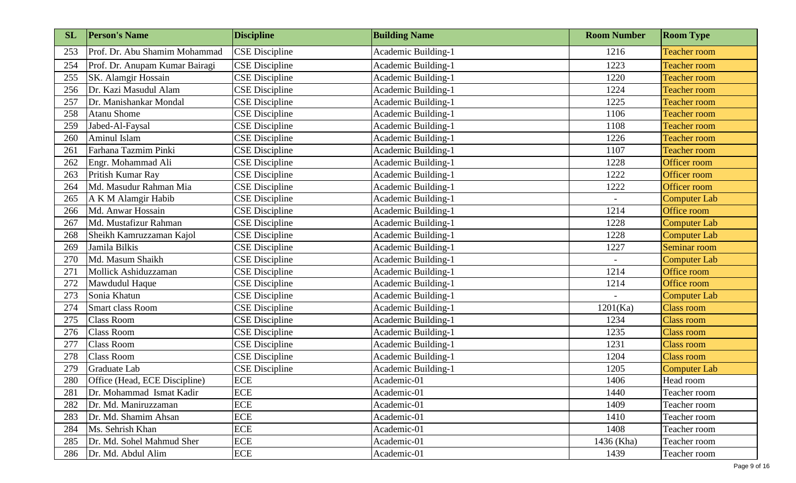| <b>SL</b> | <b>Person's Name</b>           | <b>Discipline</b>     | <b>Building Name</b> | <b>Room Number</b> | <b>Room Type</b>    |
|-----------|--------------------------------|-----------------------|----------------------|--------------------|---------------------|
| 253       | Prof. Dr. Abu Shamim Mohammad  | <b>CSE</b> Discipline | Academic Building-1  | 1216               | <b>Teacher room</b> |
| 254       | Prof. Dr. Anupam Kumar Bairagi | <b>CSE</b> Discipline | Academic Building-1  | 1223               | <b>Teacher room</b> |
| 255       | SK. Alamgir Hossain            | <b>CSE</b> Discipline | Academic Building-1  | 1220               | <b>Teacher room</b> |
| 256       | Dr. Kazi Masudul Alam          | <b>CSE</b> Discipline | Academic Building-1  | 1224               | <b>Teacher room</b> |
| 257       | Dr. Manishankar Mondal         | <b>CSE</b> Discipline | Academic Building-1  | 1225               | <b>Teacher room</b> |
| 258       | <b>Atanu Shome</b>             | <b>CSE</b> Discipline | Academic Building-1  | 1106               | <b>Teacher room</b> |
| 259       | Jabed-Al-Faysal                | <b>CSE</b> Discipline | Academic Building-1  | 1108               | <b>Teacher room</b> |
| 260       | Aminul Islam                   | <b>CSE</b> Discipline | Academic Building-1  | 1226               | <b>Teacher room</b> |
| 261       | Farhana Tazmim Pinki           | <b>CSE</b> Discipline | Academic Building-1  | 1107               | <b>Teacher room</b> |
| 262       | Engr. Mohammad Ali             | <b>CSE</b> Discipline | Academic Building-1  | 1228               | Officer room        |
| 263       | Pritish Kumar Ray              | <b>CSE</b> Discipline | Academic Building-1  | 1222               | Officer room        |
| 264       | Md. Masudur Rahman Mia         | <b>CSE</b> Discipline | Academic Building-1  | 1222               | Officer room        |
| 265       | A K M Alamgir Habib            | <b>CSE</b> Discipline | Academic Building-1  |                    | <b>Computer Lab</b> |
| 266       | Md. Anwar Hossain              | <b>CSE</b> Discipline | Academic Building-1  | 1214               | Office room         |
| 267       | Md. Mustafizur Rahman          | <b>CSE</b> Discipline | Academic Building-1  | 1228               | <b>Computer Lab</b> |
| 268       | Sheikh Kamruzzaman Kajol       | <b>CSE</b> Discipline | Academic Building-1  | 1228               | Computer Lab        |
| 269       | Jamila Bilkis                  | <b>CSE</b> Discipline | Academic Building-1  | 1227               | Seminar room        |
| 270       | Md. Masum Shaikh               | <b>CSE</b> Discipline | Academic Building-1  |                    | <b>Computer Lab</b> |
| 271       | Mollick Ashiduzzaman           | <b>CSE Discipline</b> | Academic Building-1  | 1214               | Office room         |
| 272       | Mawdudul Haque                 | <b>CSE</b> Discipline | Academic Building-1  | 1214               | Office room         |
| 273       | Sonia Khatun                   | <b>CSE</b> Discipline | Academic Building-1  |                    | <b>Computer Lab</b> |
| 274       | Smart class Room               | <b>CSE</b> Discipline | Academic Building-1  | 1201(Ka)           | Class room          |
| 275       | <b>Class Room</b>              | <b>CSE</b> Discipline | Academic Building-1  | 1234               | Class room          |
| 276       | <b>Class Room</b>              | <b>CSE</b> Discipline | Academic Building-1  | 1235               | <b>Class room</b>   |
| 277       | <b>Class Room</b>              | <b>CSE</b> Discipline | Academic Building-1  | 1231               | <b>Class room</b>   |
| 278       | <b>Class Room</b>              | <b>CSE</b> Discipline | Academic Building-1  | 1204               | <b>Class room</b>   |
| 279       | Graduate Lab                   | <b>CSE</b> Discipline | Academic Building-1  | 1205               | Computer Lab        |
| 280       | Office (Head, ECE Discipline)  | <b>ECE</b>            | Academic-01          | 1406               | Head room           |
| 281       | Dr. Mohammad Ismat Kadir       | <b>ECE</b>            | Academic-01          | 1440               | Teacher room        |
| 282       | Dr. Md. Maniruzzaman           | <b>ECE</b>            | Academic-01          | 1409               | Teacher room        |
| 283       | Dr. Md. Shamim Ahsan           | <b>ECE</b>            | Academic-01          | 1410               | Teacher room        |
| 284       | Ms. Sehrish Khan               | <b>ECE</b>            | Academic-01          | 1408               | Teacher room        |
| 285       | Dr. Md. Sohel Mahmud Sher      | <b>ECE</b>            | Academic-01          | 1436 (Kha)         | Teacher room        |
| 286       | Dr. Md. Abdul Alim             | <b>ECE</b>            | Academic-01          | 1439               | Teacher room        |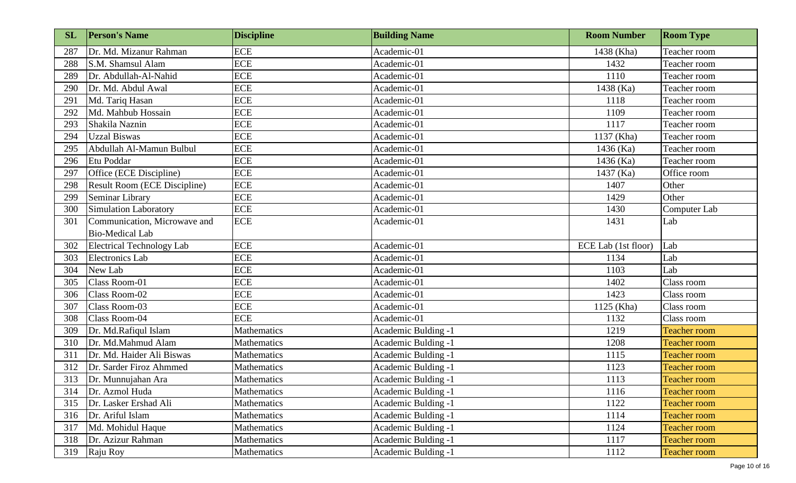| <b>SL</b> | <b>Person's Name</b>         | <b>Discipline</b>  | <b>Building Name</b>       | <b>Room Number</b>  | <b>Room Type</b>    |
|-----------|------------------------------|--------------------|----------------------------|---------------------|---------------------|
| 287       | Dr. Md. Mizanur Rahman       | <b>ECE</b>         | Academic-01                | 1438 (Kha)          | Teacher room        |
| 288       | S.M. Shamsul Alam            | <b>ECE</b>         | Academic-01                | 1432                | Teacher room        |
| 289       | Dr. Abdullah-Al-Nahid        | <b>ECE</b>         | Academic-01                | 1110                | Teacher room        |
| 290       | Dr. Md. Abdul Awal           | ECE                | Academic-01                | 1438 (Ka)           | Teacher room        |
| 291       | Md. Tariq Hasan              | <b>ECE</b>         | Academic-01                | 1118                | Teacher room        |
| 292       | Md. Mahbub Hossain           | <b>ECE</b>         | Academic-01                | 1109                | Teacher room        |
| 293       | Shakila Naznin               | <b>ECE</b>         | Academic-01                | 1117                | Teacher room        |
| 294       | <b>Uzzal Biswas</b>          | <b>ECE</b>         | Academic-01                | 1137 (Kha)          | Teacher room        |
| 295       | Abdullah Al-Mamun Bulbul     | ECE                | Academic-01                | 1436 (Ka)           | Teacher room        |
| 296       | Etu Poddar                   | <b>ECE</b>         | Academic-01                | 1436 (Ka)           | Teacher room        |
| 297       | Office (ECE Discipline)      | <b>ECE</b>         | Academic-01                | 1437 (Ka)           | Office room         |
| 298       | Result Room (ECE Discipline) | ECE                | Academic-01                | 1407                | Other               |
| 299       | Seminar Library              | ECE                | Academic-01                | 1429                | Other               |
| 300       | Simulation Laboratory        | <b>ECE</b>         | Academic-01                | 1430                | Computer Lab        |
| 301       | Communication, Microwave and | <b>ECE</b>         | Academic-01                | 1431                | Lab                 |
|           | <b>Bio-Medical Lab</b>       |                    |                            |                     |                     |
| 302       | Electrical Technology Lab    | <b>ECE</b>         | Academic-01                | ECE Lab (1st floor) | Lab                 |
| 303       | Electronics Lab              | <b>ECE</b>         | Academic-01                | 1134                | Lab                 |
| 304       | New Lab                      | <b>ECE</b>         | Academic-01                | 1103                | Lab                 |
| 305       | Class Room-01                | <b>ECE</b>         | Academic-01                | 1402                | Class room          |
| 306       | Class Room-02                | <b>ECE</b>         | Academic-01                | 1423                | Class room          |
| 307       | Class Room-03                | <b>ECE</b>         | Academic-01                | 1125 (Kha)          | Class room          |
| 308       | Class Room-04                | <b>ECE</b>         | Academic-01                | 1132                | Class room          |
| 309       | Dr. Md.Rafiqul Islam         | Mathematics        | Academic Bulding -1        | 1219                | <b>Teacher room</b> |
| 310       | Dr. Md.Mahmud Alam           | <b>Mathematics</b> | Academic Bulding -1        | 1208                | <b>Teacher room</b> |
| 311       | Dr. Md. Haider Ali Biswas    | Mathematics        | <b>Academic Bulding -1</b> | 1115                | <b>Teacher room</b> |
| 312       | Dr. Sarder Firoz Ahmmed      | Mathematics        | Academic Bulding -1        | 1123                | Teacher room        |
| 313       | Dr. Munnujahan Ara           | Mathematics        | Academic Bulding -1        | 1113                | <b>Teacher room</b> |
| 314       | Dr. Azmol Huda               | Mathematics        | Academic Bulding -1        | 1116                | <b>Teacher room</b> |
| 315       | Dr. Lasker Ershad Ali        | Mathematics        | Academic Bulding -1        | 1122                | <b>Teacher room</b> |
| 316       | Dr. Ariful Islam             | Mathematics        | <b>Academic Bulding -1</b> | 1114                | <b>Teacher room</b> |
| 317       | Md. Mohidul Haque            | Mathematics        | Academic Bulding -1        | 1124                | <b>Teacher room</b> |
| 318       | Dr. Azizur Rahman            | Mathematics        | Academic Bulding -1        | 1117                | Teacher room        |
| 319       | Raju Roy                     | Mathematics        | Academic Bulding -1        | 1112                | <b>Teacher room</b> |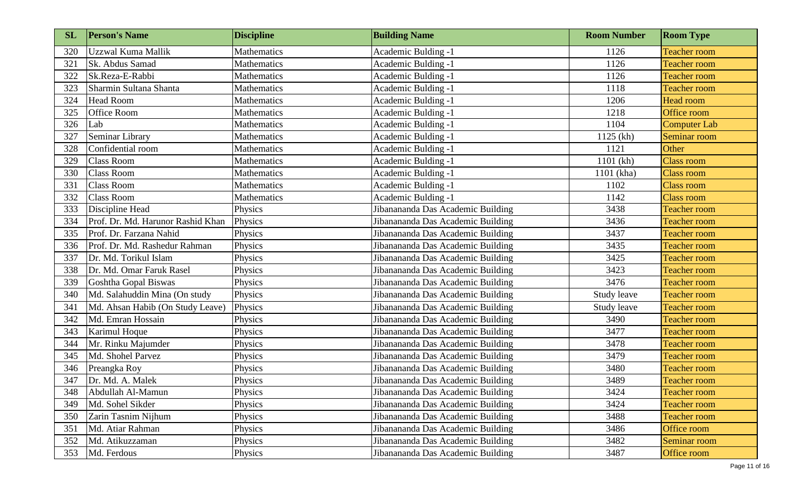| <b>SL</b> | <b>Person's Name</b>              | <b>Discipline</b>  | <b>Building Name</b>              | <b>Room Number</b> | <b>Room Type</b>    |
|-----------|-----------------------------------|--------------------|-----------------------------------|--------------------|---------------------|
| 320       | Uzzwal Kuma Mallik                | <b>Mathematics</b> | <b>Academic Bulding -1</b>        | 1126               | <b>Teacher room</b> |
| 321       | Sk. Abdus Samad                   | <b>Mathematics</b> | Academic Bulding -1               | 1126               | <b>Teacher room</b> |
| 322       | Sk.Reza-E-Rabbi                   | <b>Mathematics</b> | <b>Academic Bulding -1</b>        | 1126               | <b>Teacher room</b> |
| 323       | Sharmin Sultana Shanta            | <b>Mathematics</b> | <b>Academic Bulding -1</b>        | 1118               | <b>Teacher room</b> |
| 324       | <b>Head Room</b>                  | Mathematics        | <b>Academic Bulding -1</b>        | 1206               | <b>Head room</b>    |
| 325       | <b>Office Room</b>                | Mathematics        | <b>Academic Bulding -1</b>        | 1218               | Office room         |
| 326       | Lab                               | <b>Mathematics</b> | <b>Academic Bulding -1</b>        | 1104               | Computer Lab        |
| 327       | Seminar Library                   | Mathematics        | <b>Academic Bulding -1</b>        | 1125 (kh)          | Seminar room        |
| 328       | Confidential room                 | Mathematics        | Academic Bulding -1               | 1121               | Other               |
| 329       | <b>Class Room</b>                 | Mathematics        | <b>Academic Bulding -1</b>        | $1101$ (kh)        | <b>Class room</b>   |
| 330       | <b>Class Room</b>                 | <b>Mathematics</b> | Academic Bulding -1               | 1101 (kha)         | <b>Class room</b>   |
| 331       | <b>Class Room</b>                 | Mathematics        | <b>Academic Bulding -1</b>        | 1102               | <b>Class room</b>   |
| 332       | <b>Class Room</b>                 | Mathematics        | Academic Bulding -1               | 1142               | <b>Class room</b>   |
| 333       | Discipline Head                   | Physics            | Jibanananda Das Academic Building | 3438               | <b>Teacher room</b> |
| 334       | Prof. Dr. Md. Harunor Rashid Khan | Physics            | Jibanananda Das Academic Building | 3436               | <b>Teacher room</b> |
| 335       | Prof. Dr. Farzana Nahid           | Physics            | Jibanananda Das Academic Building | 3437               | <b>Teacher room</b> |
| 336       | Prof. Dr. Md. Rashedur Rahman     | Physics            | Jibanananda Das Academic Building | 3435               | <b>Teacher room</b> |
| 337       | Dr. Md. Torikul Islam             | Physics            | Jibanananda Das Academic Building | 3425               | <b>Teacher room</b> |
| 338       | Dr. Md. Omar Faruk Rasel          | Physics            | Jibanananda Das Academic Building | 3423               | <b>Teacher room</b> |
| 339       | Goshtha Gopal Biswas              | Physics            | Jibanananda Das Academic Building | 3476               | <b>Teacher room</b> |
| 340       | Md. Salahuddin Mina (On study     | Physics            | Jibanananda Das Academic Building | Study leave        | <b>Teacher room</b> |
| 341       | Md. Ahsan Habib (On Study Leave)  | Physics            | Jibanananda Das Academic Building | Study leave        | <b>Teacher room</b> |
| 342       | Md. Emran Hossain                 | Physics            | Jibanananda Das Academic Building | 3490               | <b>Teacher room</b> |
| 343       | Karimul Hoque                     | Physics            | Jibanananda Das Academic Building | 3477               | <b>Teacher room</b> |
| 344       | Mr. Rinku Majumder                | Physics            | Jibanananda Das Academic Building | 3478               | <b>Teacher room</b> |
| 345       | Md. Shohel Parvez                 | Physics            | Jibanananda Das Academic Building | 3479               | <b>Teacher room</b> |
| 346       | Preangka Roy                      | Physics            | Jibanananda Das Academic Building | 3480               | <b>Teacher room</b> |
| 347       | Dr. Md. A. Malek                  | Physics            | Jibanananda Das Academic Building | 3489               | <b>Teacher room</b> |
| 348       | Abdullah Al-Mamun                 | Physics            | Jibanananda Das Academic Building | 3424               | <b>Teacher room</b> |
| 349       | Md. Sohel Sikder                  | Physics            | Jibanananda Das Academic Building | 3424               | <b>Teacher room</b> |
| 350       | Zarin Tasnim Nijhum               | Physics            | Jibanananda Das Academic Building | 3488               | Teacher room        |
| 351       | Md. Atiar Rahman                  | Physics            | Jibanananda Das Academic Building | 3486               | Office room         |
| 352       | Md. Atikuzzaman                   | Physics            | Jibanananda Das Academic Building | 3482               | Seminar room        |
| 353       | Md. Ferdous                       | Physics            | Jibanananda Das Academic Building | 3487               | Office room         |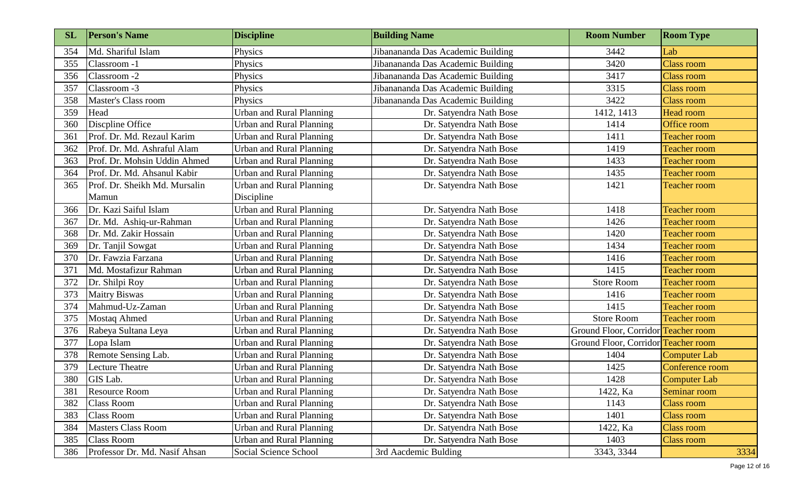| <b>SL</b> | <b>Person's Name</b>          | <b>Discipline</b>               | <b>Building Name</b>              | <b>Room Number</b>                  | <b>Room Type</b>    |
|-----------|-------------------------------|---------------------------------|-----------------------------------|-------------------------------------|---------------------|
| 354       | Md. Shariful Islam            | Physics                         | Jibanananda Das Academic Building | 3442                                | Lab                 |
| 355       | Classroom -1                  | Physics                         | Jibanananda Das Academic Building | 3420                                | <b>Class room</b>   |
| 356       | Classroom -2                  | Physics                         | Jibanananda Das Academic Building | 3417                                | <b>Class room</b>   |
| 357       | Classroom -3                  | Physics                         | Jibanananda Das Academic Building | 3315                                | <b>Class room</b>   |
| 358       | Master's Class room           | Physics                         | Jibanananda Das Academic Building | 3422                                | <b>Class room</b>   |
| 359       | Head                          | <b>Urban and Rural Planning</b> | Dr. Satyendra Nath Bose           | 1412, 1413                          | <b>Head room</b>    |
| 360       | Discpline Office              | <b>Urban and Rural Planning</b> | Dr. Satyendra Nath Bose           | 1414                                | Office room         |
| 361       | Prof. Dr. Md. Rezaul Karim    | Urban and Rural Planning        | Dr. Satyendra Nath Bose           | 1411                                | <b>Teacher room</b> |
| 362       | Prof. Dr. Md. Ashraful Alam   | Urban and Rural Planning        | Dr. Satyendra Nath Bose           | 1419                                | <b>Teacher room</b> |
| 363       | Prof. Dr. Mohsin Uddin Ahmed  | Urban and Rural Planning        | Dr. Satyendra Nath Bose           | 1433                                | <b>Teacher room</b> |
| 364       | Prof. Dr. Md. Ahsanul Kabir   | Urban and Rural Planning        | Dr. Satyendra Nath Bose           | 1435                                | <b>Teacher room</b> |
| 365       | Prof. Dr. Sheikh Md. Mursalin | Urban and Rural Planning        | Dr. Satyendra Nath Bose           | 1421                                | <b>Teacher room</b> |
|           | Mamun                         | Discipline                      |                                   |                                     |                     |
| 366       | Dr. Kazi Saiful Islam         | <b>Urban and Rural Planning</b> | Dr. Satyendra Nath Bose           | 1418                                | <b>Teacher room</b> |
| 367       | Dr. Md. Ashiq-ur-Rahman       | <b>Urban and Rural Planning</b> | Dr. Satyendra Nath Bose           | 1426                                | <b>Teacher room</b> |
| 368       | Dr. Md. Zakir Hossain         | <b>Urban and Rural Planning</b> | Dr. Satyendra Nath Bose           | 1420                                | <b>Teacher room</b> |
| 369       | Dr. Tanjil Sowgat             | Urban and Rural Planning        | Dr. Satyendra Nath Bose           | 1434                                | <b>Teacher room</b> |
| 370       | Dr. Fawzia Farzana            | <b>Urban and Rural Planning</b> | Dr. Satyendra Nath Bose           | 1416                                | <b>Teacher room</b> |
| 371       | Md. Mostafizur Rahman         | Urban and Rural Planning        | Dr. Satyendra Nath Bose           | 1415                                | <b>Teacher room</b> |
| 372       | Dr. Shilpi Roy                | <b>Urban and Rural Planning</b> | Dr. Satyendra Nath Bose           | <b>Store Room</b>                   | <b>Teacher room</b> |
| 373       | <b>Maitry Biswas</b>          | Urban and Rural Planning        | Dr. Satyendra Nath Bose           | 1416                                | <b>Teacher room</b> |
| 374       | Mahmud-Uz-Zaman               | Urban and Rural Planning        | Dr. Satyendra Nath Bose           | 1415                                | <b>Teacher room</b> |
| 375       | <b>Mostaq Ahmed</b>           | <b>Urban and Rural Planning</b> | Dr. Satyendra Nath Bose           | <b>Store Room</b>                   | <b>Teacher room</b> |
| 376       | Rabeya Sultana Leya           | Urban and Rural Planning        | Dr. Satyendra Nath Bose           | Ground Floor, Corridor Teacher room |                     |
| 377       | Lopa Islam                    | <b>Urban and Rural Planning</b> | Dr. Satyendra Nath Bose           | Ground Floor, Corridor Teacher room |                     |
| 378       | Remote Sensing Lab.           | Urban and Rural Planning        | Dr. Satyendra Nath Bose           | 1404                                | <b>Computer Lab</b> |
| 379       | <b>Lecture Theatre</b>        | <b>Urban and Rural Planning</b> | Dr. Satyendra Nath Bose           | 1425                                | Conference room     |
| 380       | GIS Lab.                      | <b>Urban and Rural Planning</b> | Dr. Satyendra Nath Bose           | 1428                                | Computer Lab        |
| 381       | <b>Resource Room</b>          | Urban and Rural Planning        | Dr. Satyendra Nath Bose           | 1422, Ka                            | Seminar room        |
| 382       | <b>Class Room</b>             | Urban and Rural Planning        | Dr. Satyendra Nath Bose           | 1143                                | <b>Class room</b>   |
| 383       | <b>Class Room</b>             | <b>Urban and Rural Planning</b> | Dr. Satyendra Nath Bose           | 1401                                | Class room          |
| 384       | <b>Masters Class Room</b>     | Urban and Rural Planning        | Dr. Satyendra Nath Bose           | 1422, Ka                            | <b>Class room</b>   |
| 385       | Class Room                    | <b>Urban and Rural Planning</b> | Dr. Satyendra Nath Bose           | 1403                                | <b>Class room</b>   |
| 386       | Professor Dr. Md. Nasif Ahsan | Social Science School           | 3rd Aacdemic Bulding              | 3343, 3344                          | 3334                |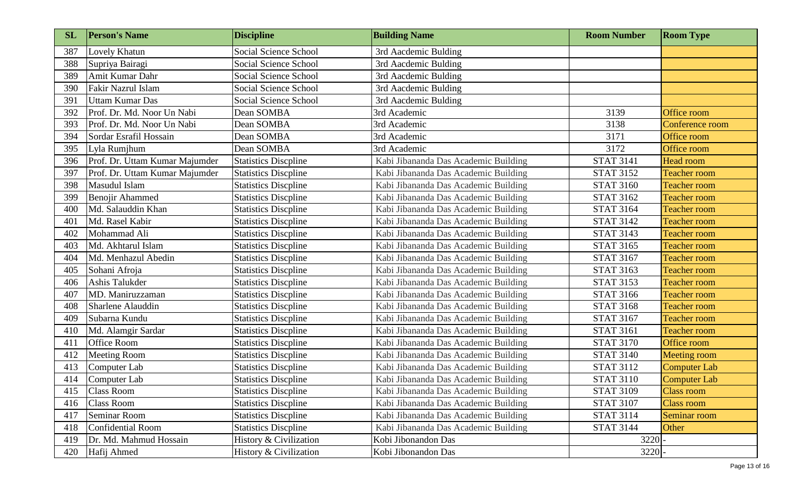| <b>SL</b> | <b>Person's Name</b>           | <b>Discipline</b>            | <b>Building Name</b>                 | <b>Room Number</b> | <b>Room Type</b>    |
|-----------|--------------------------------|------------------------------|--------------------------------------|--------------------|---------------------|
| 387       | Lovely Khatun                  | <b>Social Science School</b> | 3rd Aacdemic Bulding                 |                    |                     |
| 388       | Supriya Bairagi                | <b>Social Science School</b> | 3rd Aacdemic Bulding                 |                    |                     |
| 389       | Amit Kumar Dahr                | <b>Social Science School</b> | 3rd Aacdemic Bulding                 |                    |                     |
| 390       | Fakir Nazrul Islam             | Social Science School        | 3rd Aacdemic Bulding                 |                    |                     |
| 391       | <b>Uttam Kumar Das</b>         | Social Science School        | 3rd Aacdemic Bulding                 |                    |                     |
| 392       | Prof. Dr. Md. Noor Un Nabi     | Dean SOMBA                   | 3rd Academic                         | 3139               | Office room         |
| 393       | Prof. Dr. Md. Noor Un Nabi     | Dean SOMBA                   | 3rd Academic                         | 3138               | Conference room     |
| 394       | Sordar Esrafil Hossain         | Dean SOMBA                   | 3rd Academic                         | 3171               | Office room         |
| 395       | Lyla Rumjhum                   | Dean SOMBA                   | 3rd Academic                         | 3172               | Office room         |
| 396       | Prof. Dr. Uttam Kumar Majumder | <b>Statistics Discpline</b>  | Kabi Jibananda Das Academic Building | <b>STAT 3141</b>   | <b>Head room</b>    |
| 397       | Prof. Dr. Uttam Kumar Majumder | <b>Statistics Discpline</b>  | Kabi Jibananda Das Academic Building | <b>STAT 3152</b>   | <b>Teacher room</b> |
| 398       | Masudul Islam                  | <b>Statistics Discpline</b>  | Kabi Jibananda Das Academic Building | <b>STAT 3160</b>   | <b>Teacher room</b> |
| 399       | <b>Benojir Ahammed</b>         | <b>Statistics Discpline</b>  | Kabi Jibananda Das Academic Building | <b>STAT 3162</b>   | <b>Teacher room</b> |
| 400       | Md. Salauddin Khan             | <b>Statistics Discpline</b>  | Kabi Jibananda Das Academic Building | <b>STAT 3164</b>   | <b>Teacher room</b> |
| 401       | Md. Rasel Kabir                | <b>Statistics Discpline</b>  | Kabi Jibananda Das Academic Building | <b>STAT 3142</b>   | <b>Teacher room</b> |
| 402       | Mohammad Ali                   | <b>Statistics Discpline</b>  | Kabi Jibananda Das Academic Building | <b>STAT 3143</b>   | <b>Teacher room</b> |
| 403       | Md. Akhtarul Islam             | <b>Statistics Discpline</b>  | Kabi Jibananda Das Academic Building | <b>STAT 3165</b>   | <b>Teacher room</b> |
| 404       | Md. Menhazul Abedin            | <b>Statistics Discpline</b>  | Kabi Jibananda Das Academic Building | <b>STAT 3167</b>   | <b>Teacher room</b> |
| 405       | Sohani Afroja                  | <b>Statistics Discpline</b>  | Kabi Jibananda Das Academic Building | <b>STAT 3163</b>   | <b>Teacher room</b> |
| 406       | Ashis Talukder                 | <b>Statistics Discpline</b>  | Kabi Jibananda Das Academic Building | <b>STAT 3153</b>   | <b>Teacher room</b> |
| 407       | MD. Maniruzzaman               | <b>Statistics Discpline</b>  | Kabi Jibananda Das Academic Building | <b>STAT 3166</b>   | <b>Teacher room</b> |
| 408       | Sharlene Alauddin              | <b>Statistics Discpline</b>  | Kabi Jibananda Das Academic Building | <b>STAT 3168</b>   | <b>Teacher room</b> |
| 409       | Subarna Kundu                  | <b>Statistics Discpline</b>  | Kabi Jibananda Das Academic Building | <b>STAT 3167</b>   | <b>Teacher room</b> |
| 410       | Md. Alamgir Sardar             | <b>Statistics Discpline</b>  | Kabi Jibananda Das Academic Building | <b>STAT 3161</b>   | <b>Teacher room</b> |
| 411       | Office Room                    | <b>Statistics Discpline</b>  | Kabi Jibananda Das Academic Building | <b>STAT 3170</b>   | Office room         |
| 412       | <b>Meeting Room</b>            | <b>Statistics Discpline</b>  | Kabi Jibananda Das Academic Building | <b>STAT 3140</b>   | Meeting room        |
| 413       | Computer Lab                   | <b>Statistics Discpline</b>  | Kabi Jibananda Das Academic Building | <b>STAT 3112</b>   | <b>Computer Lab</b> |
| 414       | Computer Lab                   | <b>Statistics Discpline</b>  | Kabi Jibananda Das Academic Building | <b>STAT 3110</b>   | Computer Lab        |
| 415       | <b>Class Room</b>              | <b>Statistics Discpline</b>  | Kabi Jibananda Das Academic Building | <b>STAT 3109</b>   | <b>Class room</b>   |
| 416       | <b>Class Room</b>              | <b>Statistics Discpline</b>  | Kabi Jibananda Das Academic Building | <b>STAT 3107</b>   | <b>Class room</b>   |
| 417       | Seminar Room                   | <b>Statistics Discpline</b>  | Kabi Jibananda Das Academic Building | <b>STAT 3114</b>   | Seminar room        |
| 418       | Confidential Room              | <b>Statistics Discpline</b>  | Kabi Jibananda Das Academic Building | <b>STAT 3144</b>   | Other               |
| 419       | Dr. Md. Mahmud Hossain         | History & Civilization       | Kobi Jibonandon Das                  | 3220               |                     |
| 420       | Hafij Ahmed                    | History & Civilization       | Kobi Jibonandon Das                  | $3220$ –           |                     |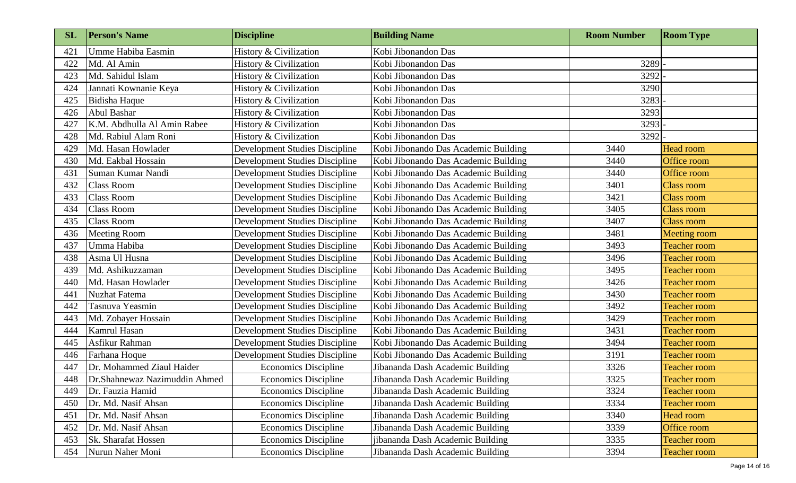| <b>SL</b> | <b>Person's Name</b>          | <b>Discipline</b>                     | <b>Building Name</b>                 | <b>Room Number</b> | <b>Room Type</b>    |
|-----------|-------------------------------|---------------------------------------|--------------------------------------|--------------------|---------------------|
| 421       | Umme Habiba Easmin            | History & Civilization                | Kobi Jibonandon Das                  |                    |                     |
| 422       | Md. Al Amin                   | History & Civilization                | Kobi Jibonandon Das                  | 3289               |                     |
| 423       | Md. Sahidul Islam             | History & Civilization                | Kobi Jibonandon Das                  | 3292               |                     |
| 424       | Jannati Kownanie Keya         | History & Civilization                | Kobi Jibonandon Das                  | 3290               |                     |
| 425       | Bidisha Haque                 | History & Civilization                | Kobi Jibonandon Das                  | 3283               |                     |
| 426       | <b>Abul Bashar</b>            | History & Civilization                | Kobi Jibonandon Das                  | 3293               |                     |
| 427       | K.M. Abdhulla Al Amin Rabee   | History & Civilization                | Kobi Jibonandon Das                  | 3293               |                     |
| 428       | Md. Rabiul Alam Roni          | History & Civilization                | Kobi Jibonandon Das                  | 3292               |                     |
| 429       | Md. Hasan Howlader            | Development Studies Discipline        | Kobi Jibonando Das Academic Building | 3440               | Head room           |
| 430       | Md. Eakbal Hossain            | <b>Development Studies Discipline</b> | Kobi Jibonando Das Academic Building | 3440               | Office room         |
| 431       | Suman Kumar Nandi             | <b>Development Studies Discipline</b> | Kobi Jibonando Das Academic Building | 3440               | Office room         |
| 432       | <b>Class Room</b>             | <b>Development Studies Discipline</b> | Kobi Jibonando Das Academic Building | 3401               | <b>Class room</b>   |
| 433       | <b>Class Room</b>             | Development Studies Discipline        | Kobi Jibonando Das Academic Building | 3421               | <b>Class room</b>   |
| 434       | <b>Class Room</b>             | <b>Development Studies Discipline</b> | Kobi Jibonando Das Academic Building | 3405               | <b>Class room</b>   |
| 435       | <b>Class Room</b>             | <b>Development Studies Discipline</b> | Kobi Jibonando Das Academic Building | 3407               | <b>Class room</b>   |
| 436       | <b>Meeting Room</b>           | <b>Development Studies Discipline</b> | Kobi Jibonando Das Academic Building | 3481               | Meeting room        |
| 437       | Umma Habiba                   | Development Studies Discipline        | Kobi Jibonando Das Academic Building | 3493               | <b>Teacher room</b> |
| 438       | Asma Ul Husna                 | <b>Development Studies Discipline</b> | Kobi Jibonando Das Academic Building | 3496               | <b>Teacher room</b> |
| 439       | Md. Ashikuzzaman              | Development Studies Discipline        | Kobi Jibonando Das Academic Building | 3495               | <b>Teacher room</b> |
| 440       | Md. Hasan Howlader            | <b>Development Studies Discipline</b> | Kobi Jibonando Das Academic Building | 3426               | <b>Teacher room</b> |
| 441       | <b>Nuzhat Fatema</b>          | <b>Development Studies Discipline</b> | Kobi Jibonando Das Academic Building | 3430               | <b>Teacher room</b> |
| 442       | Tasnuva Yeasmin               | Development Studies Discipline        | Kobi Jibonando Das Academic Building | 3492               | <b>Teacher room</b> |
| 443       | Md. Zobayer Hossain           | <b>Development Studies Discipline</b> | Kobi Jibonando Das Academic Building | 3429               | <b>Teacher room</b> |
| 444       | Kamrul Hasan                  | <b>Development Studies Discipline</b> | Kobi Jibonando Das Academic Building | 3431               | <b>Teacher room</b> |
| 445       | Asfikur Rahman                | <b>Development Studies Discipline</b> | Kobi Jibonando Das Academic Building | 3494               | <b>Teacher room</b> |
| 446       | Farhana Hoque                 | <b>Development Studies Discipline</b> | Kobi Jibonando Das Academic Building | 3191               | <b>Teacher room</b> |
| 447       | Dr. Mohammed Ziaul Haider     | <b>Economics Discipline</b>           | Jibananda Dash Academic Building     | 3326               | <b>Teacher room</b> |
| 448       | Dr.Shahnewaz Nazimuddin Ahmed | <b>Economics Discipline</b>           | Jibananda Dash Academic Building     | 3325               | Teacher room        |
| 449       | Dr. Fauzia Hamid              | <b>Economics Discipline</b>           | Jibananda Dash Academic Building     | 3324               | <b>Teacher room</b> |
| 450       | Dr. Md. Nasif Ahsan           | <b>Economics Discipline</b>           | Jibananda Dash Academic Building     | 3334               | <b>Teacher room</b> |
| 451       | Dr. Md. Nasif Ahsan           | <b>Economics Discipline</b>           | Jibananda Dash Academic Building     | 3340               | Head room           |
| 452       | Dr. Md. Nasif Ahsan           | <b>Economics Discipline</b>           | Jibananda Dash Academic Building     | 3339               | Office room         |
| 453       | Sk. Sharafat Hossen           | <b>Economics Discipline</b>           | jibananda Dash Academic Building     | 3335               | <b>Teacher room</b> |
| 454       | Nurun Naher Moni              | <b>Economics Discipline</b>           | Jibananda Dash Academic Building     | 3394               | <b>Teacher room</b> |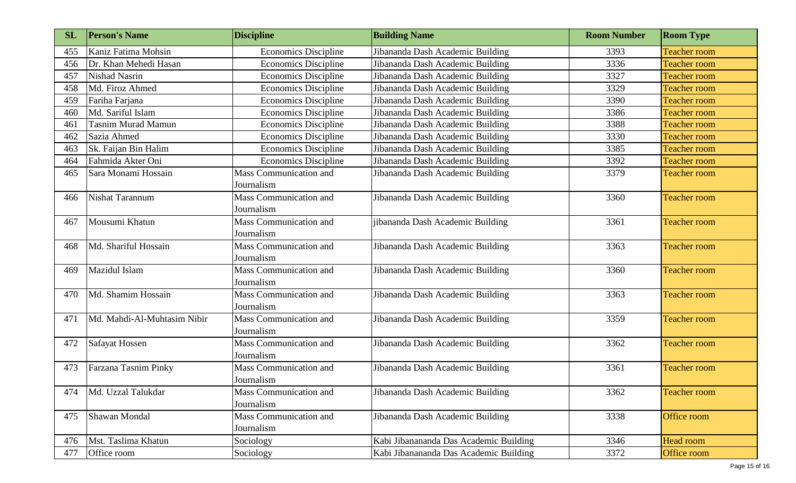| <b>SL</b> | <b>Person's Name</b>        | <b>Discipline</b>                           | <b>Building Name</b>                   | <b>Room Number</b> | <b>Room Type</b>    |
|-----------|-----------------------------|---------------------------------------------|----------------------------------------|--------------------|---------------------|
| 455       | Kaniz Fatima Mohsin         | <b>Economics Discipline</b>                 | Jibananda Dash Academic Building       | 3393               | <b>Teacher room</b> |
| 456       | Dr. Khan Mehedi Hasan       | <b>Economics Discipline</b>                 | Jibananda Dash Academic Building       | 3336               | <b>Teacher room</b> |
| 457       | <b>Nishad Nasrin</b>        | <b>Economics Discipline</b>                 | Jibananda Dash Academic Building       | 3327               | <b>Teacher room</b> |
| 458       | Md. Firoz Ahmed             | <b>Economics Discipline</b>                 | Jibananda Dash Academic Building       | 3329               | <b>Teacher room</b> |
| 459       | Fariha Farjana              | <b>Economics Discipline</b>                 | Jibananda Dash Academic Building       | 3390               | <b>Teacher room</b> |
| 460       | Md. Sariful Islam           | <b>Economics Discipline</b>                 | Jibananda Dash Academic Building       | 3386               | <b>Teacher room</b> |
| 461       | <b>Tasnim Murad Mamun</b>   | <b>Economics Discipline</b>                 | Jibananda Dash Academic Building       | 3388               | <b>Teacher room</b> |
| 462       | Sazia Ahmed                 | <b>Economics Discipline</b>                 | Jibananda Dash Academic Building       | 3330               | <b>Teacher room</b> |
| 463       | Sk. Faijan Bin Halim        | <b>Economics Discipline</b>                 | Jibananda Dash Academic Building       | 3385               | <b>Teacher room</b> |
| 464       | Fahmida Akter Oni           | <b>Economics Discipline</b>                 | Jibananda Dash Academic Building       | 3392               | <b>Teacher room</b> |
| 465       | Sara Monami Hossain         | <b>Mass Communication and</b><br>Journalism | Jibananda Dash Academic Building       | 3379               | <b>Teacher room</b> |
| 466       | Nishat Tarannum             | <b>Mass Communication and</b><br>Journalism | Jibananda Dash Academic Building       | 3360               | <b>Teacher room</b> |
| 467       | Mousumi Khatun              | Mass Communication and<br>Journalism        | jibananda Dash Academic Building       | 3361               | <b>Teacher room</b> |
| 468       | Md. Shariful Hossain        | <b>Mass Communication and</b><br>Journalism | Jibananda Dash Academic Building       | 3363               | <b>Teacher room</b> |
| 469       | Mazidul Islam               | Mass Communication and<br>Journalism        | Jibananda Dash Academic Building       | 3360               | <b>Teacher room</b> |
| 470       | Md. Shamim Hossain          | Mass Communication and<br>Journalism        | Jibananda Dash Academic Building       | 3363               | <b>Teacher room</b> |
| 471       | Md. Mahdi-Al-Muhtasim Nibir | Mass Communication and<br>Journalism        | Jibananda Dash Academic Building       | 3359               | <b>Teacher room</b> |
| 472       | Safayat Hossen              | <b>Mass Communication and</b><br>Journalism | Jibananda Dash Academic Building       | 3362               | <b>Teacher room</b> |
| 473       | Farzana Tasnim Pinky        | <b>Mass Communication and</b><br>Journalism | Jibananda Dash Academic Building       | 3361               | <b>Teacher room</b> |
| 474       | Md. Uzzal Talukdar          | Mass Communication and<br>Journalism        | Jibananda Dash Academic Building       | 3362               | <b>Teacher room</b> |
| 475       | Shawan Mondal               | Mass Communication and<br>Journalism        | Jibananda Dash Academic Building       | 3338               | Office room         |
| 476       | Mst. Taslima Khatun         | Sociology                                   | Kabi Jibanananda Das Academic Building | 3346               | Head room           |
| 477       | Office room                 | Sociology                                   | Kabi Jibanananda Das Academic Building | 3372               | Office room         |